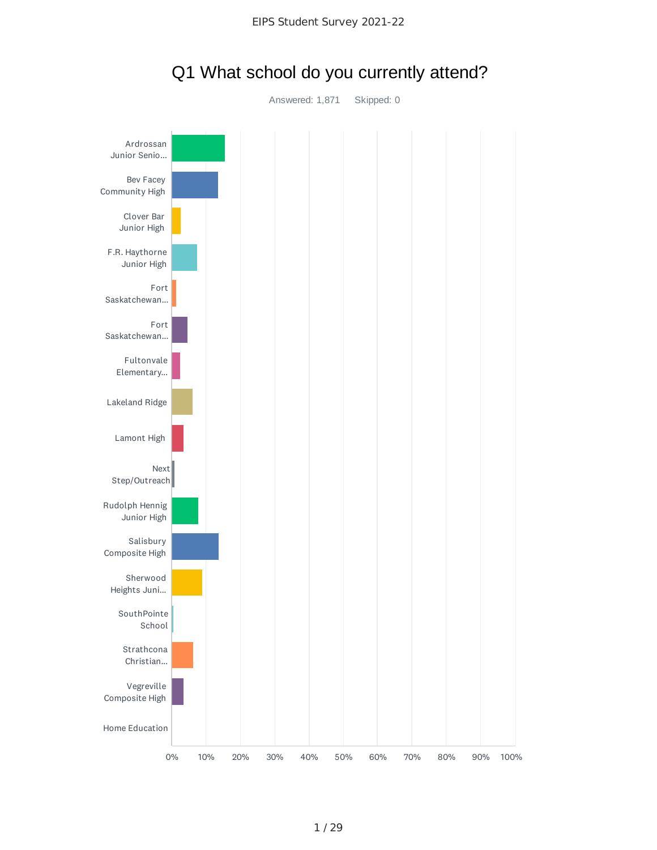

## Q1 What school do you currently attend?

Answered: 1,871 Skipped: 0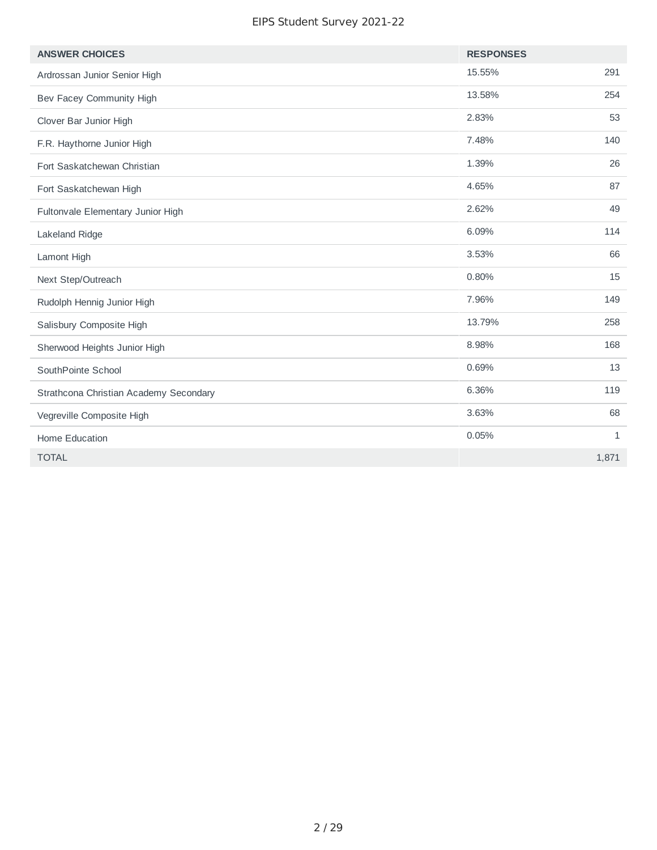| <b>ANSWER CHOICES</b>                  | <b>RESPONSES</b> |              |
|----------------------------------------|------------------|--------------|
| Ardrossan Junior Senior High           | 15.55%           | 291          |
| Bev Facey Community High               | 13.58%           | 254          |
| Clover Bar Junior High                 | 2.83%            | 53           |
| F.R. Haythorne Junior High             | 7.48%            | 140          |
| Fort Saskatchewan Christian            | 1.39%            | 26           |
| Fort Saskatchewan High                 | 4.65%            | 87           |
| Fultonvale Elementary Junior High      | 2.62%            | 49           |
| Lakeland Ridge                         | 6.09%            | 114          |
| Lamont High                            | 3.53%            | 66           |
| Next Step/Outreach                     | 0.80%            | 15           |
| Rudolph Hennig Junior High             | 7.96%            | 149          |
| Salisbury Composite High               | 13.79%           | 258          |
| Sherwood Heights Junior High           | 8.98%            | 168          |
| SouthPointe School                     | 0.69%            | 13           |
| Strathcona Christian Academy Secondary | 6.36%            | 119          |
| Vegreville Composite High              | 3.63%            | 68           |
| Home Education                         | 0.05%            | $\mathbf{1}$ |
| <b>TOTAL</b>                           |                  | 1,871        |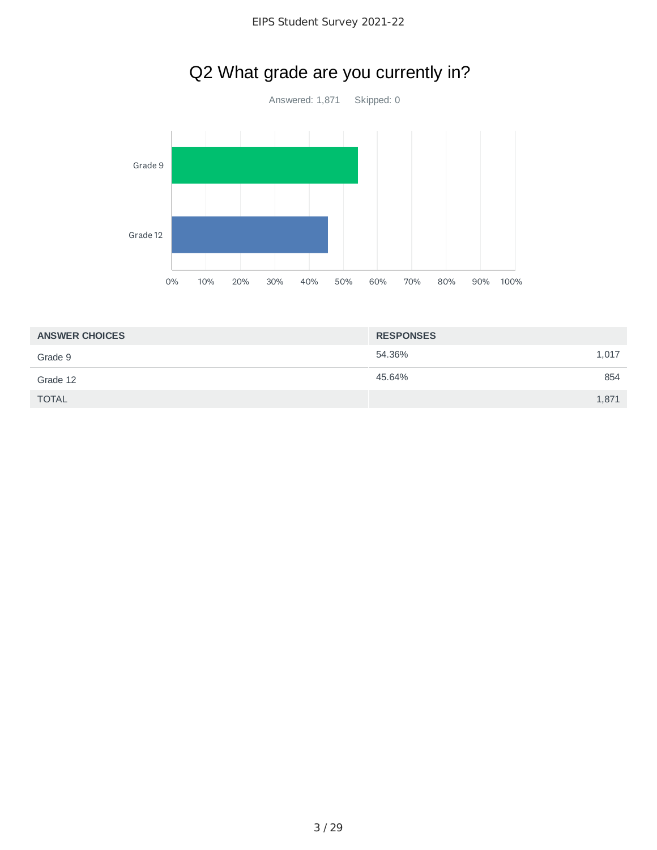

| <b>ANSWER CHOICES</b> | <b>RESPONSES</b> |  |
|-----------------------|------------------|--|
| Grade 9               | 54.36%<br>1,017  |  |
| Grade 12              | 45.64%<br>854    |  |
| <b>TOTAL</b>          | 1,871            |  |

# Q2 What grade are you currently in?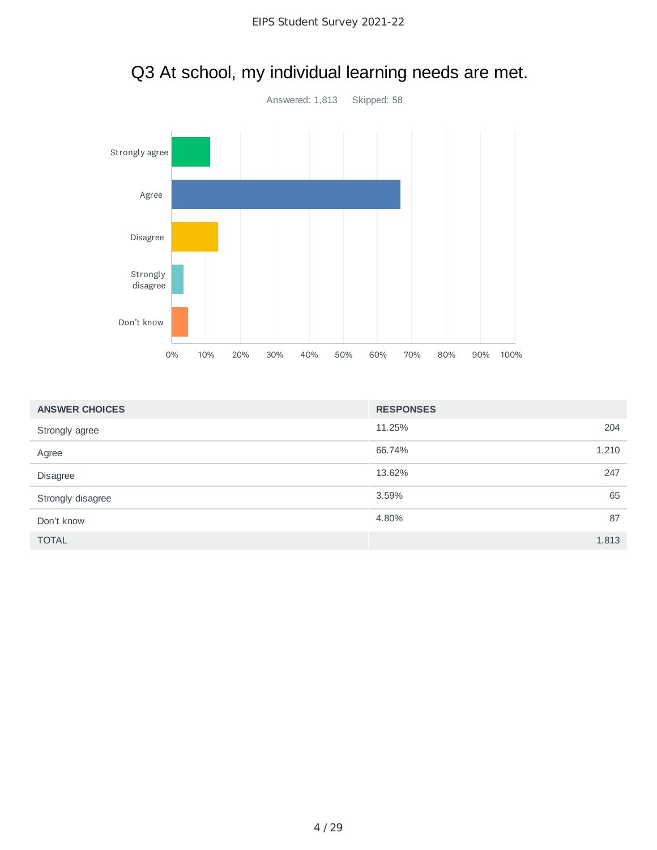

# Q3 At school, my individual learning needs are met.

| <b>ANSWER CHOICES</b> | <b>RESPONSES</b> |       |
|-----------------------|------------------|-------|
| Strongly agree        | 11.25%           | 204   |
| Agree                 | 66.74%           | 1,210 |
| <b>Disagree</b>       | 13.62%           | 247   |
| Strongly disagree     | 3.59%            | 65    |
| Don't know            | 4.80%            | 87    |
| <b>TOTAL</b>          |                  | 1,813 |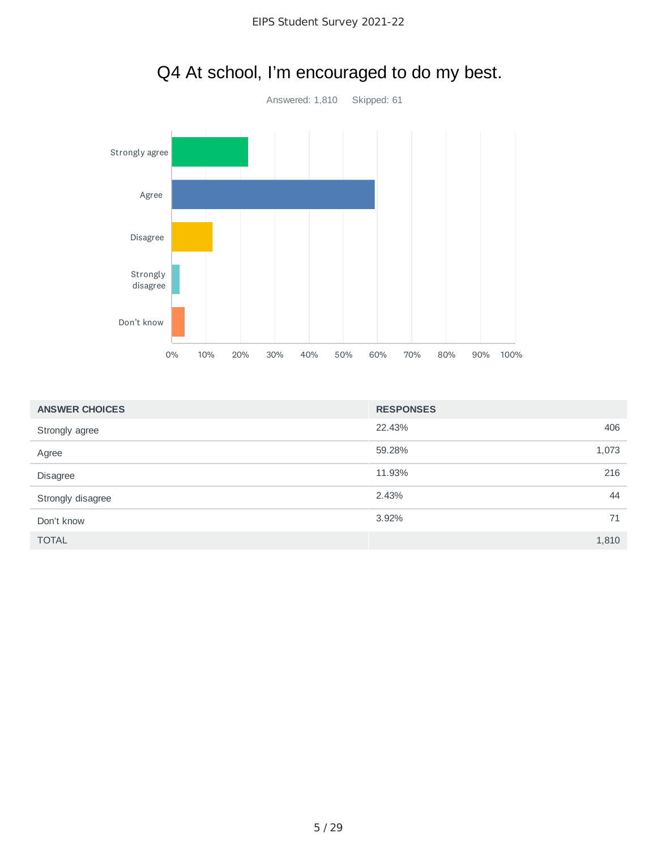

# Q4 At school, I'm encouraged to do my best.

| <b>ANSWER CHOICES</b> | <b>RESPONSES</b> |       |
|-----------------------|------------------|-------|
| Strongly agree        | 22.43%           | 406   |
| Agree                 | 59.28%           | 1,073 |
| Disagree              | 11.93%           | 216   |
| Strongly disagree     | 2.43%            | 44    |
| Don't know            | 3.92%            | 71    |
| <b>TOTAL</b>          |                  | 1,810 |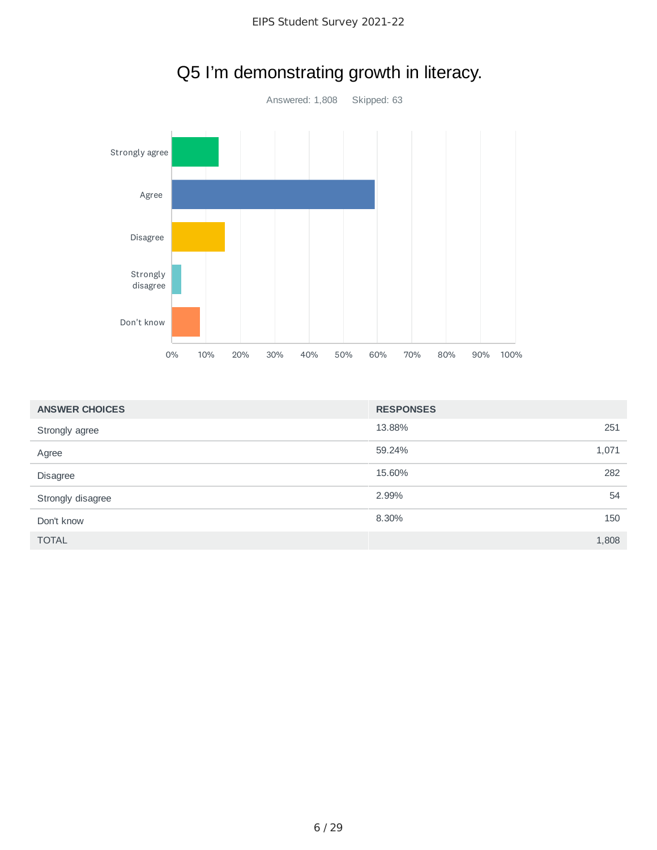

# Q5 I'm demonstrating growth in literacy.

| <b>ANSWER CHOICES</b> | <b>RESPONSES</b> |       |
|-----------------------|------------------|-------|
| Strongly agree        | 13.88%           | 251   |
| Agree                 | 59.24%           | 1,071 |
| Disagree              | 15.60%           | 282   |
| Strongly disagree     | 2.99%            | 54    |
| Don't know            | 8.30%            | 150   |
| <b>TOTAL</b>          |                  | 1,808 |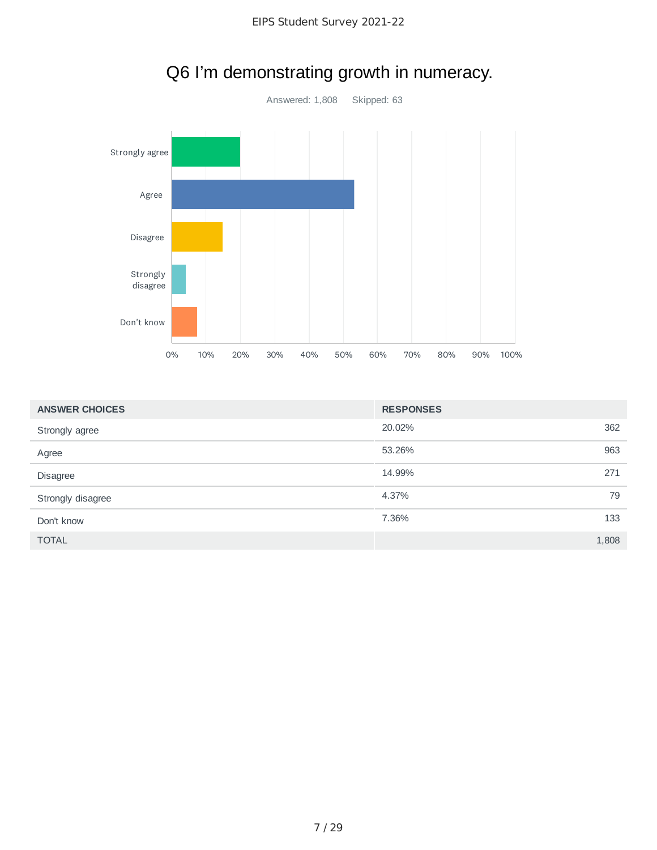

# Q6 I'm demonstrating growth in numeracy.

| <b>ANSWER CHOICES</b> | <b>RESPONSES</b> |       |
|-----------------------|------------------|-------|
| Strongly agree        | 20.02%           | 362   |
| Agree                 | 53.26%           | 963   |
| Disagree              | 14.99%           | 271   |
| Strongly disagree     | 4.37%            | 79    |
| Don't know            | 7.36%            | 133   |
| <b>TOTAL</b>          |                  | 1,808 |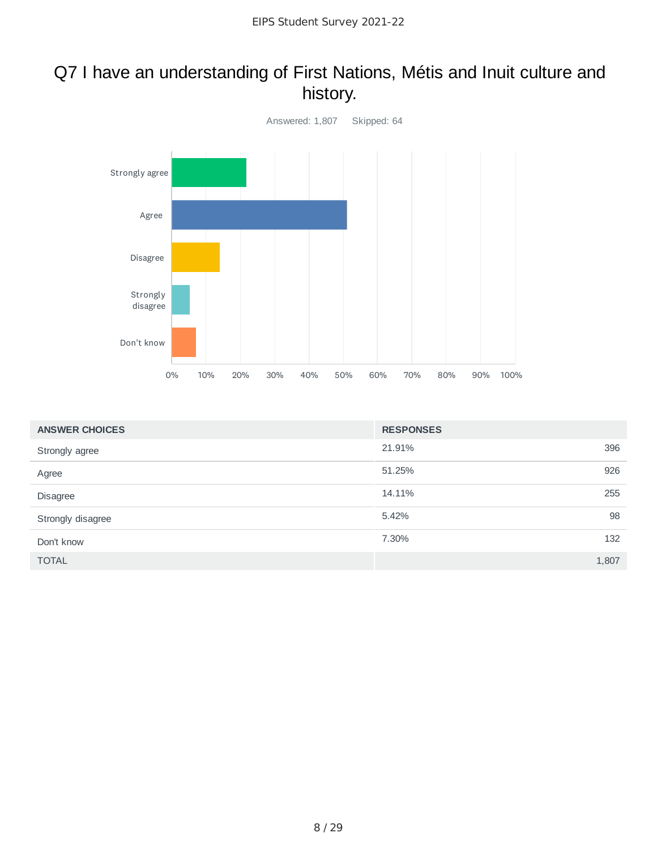### Q7 I have an understanding of First Nations, Métis and Inuit culture and history.



| <b>ANSWER CHOICES</b> | <b>RESPONSES</b> |       |
|-----------------------|------------------|-------|
| Strongly agree        | 21.91%           | 396   |
| Agree                 | 51.25%           | 926   |
| Disagree              | 14.11%           | 255   |
| Strongly disagree     | 5.42%            | 98    |
| Don't know            | 7.30%            | 132   |
| <b>TOTAL</b>          |                  | 1,807 |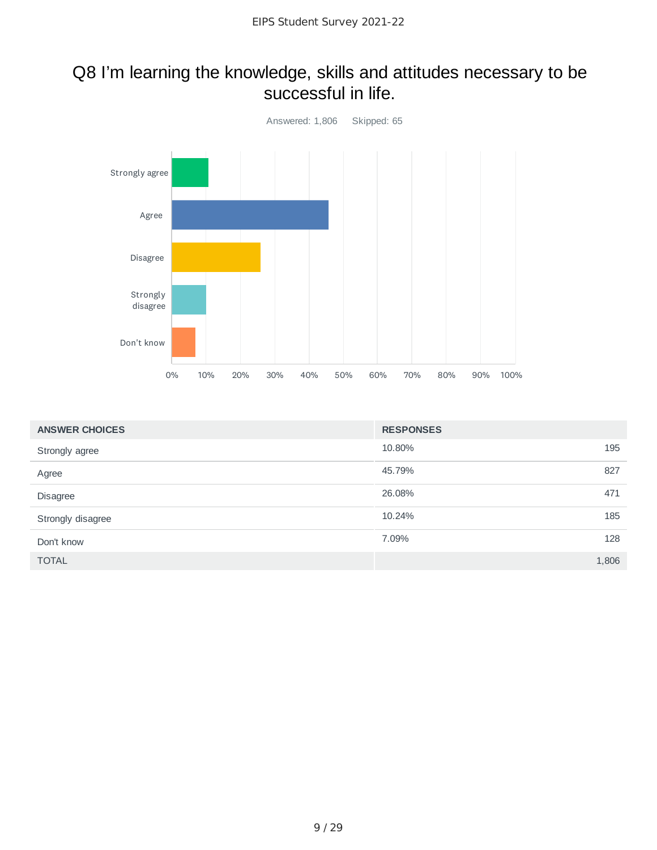#### Q8 I'm learning the knowledge, skills and attitudes necessary to be successful in life.



| <b>ANSWER CHOICES</b> | <b>RESPONSES</b> |       |
|-----------------------|------------------|-------|
| Strongly agree        | 10.80%           | 195   |
| Agree                 | 45.79%           | 827   |
| Disagree              | 26.08%           | 471   |
| Strongly disagree     | 10.24%           | 185   |
| Don't know            | 7.09%            | 128   |
| <b>TOTAL</b>          |                  | 1,806 |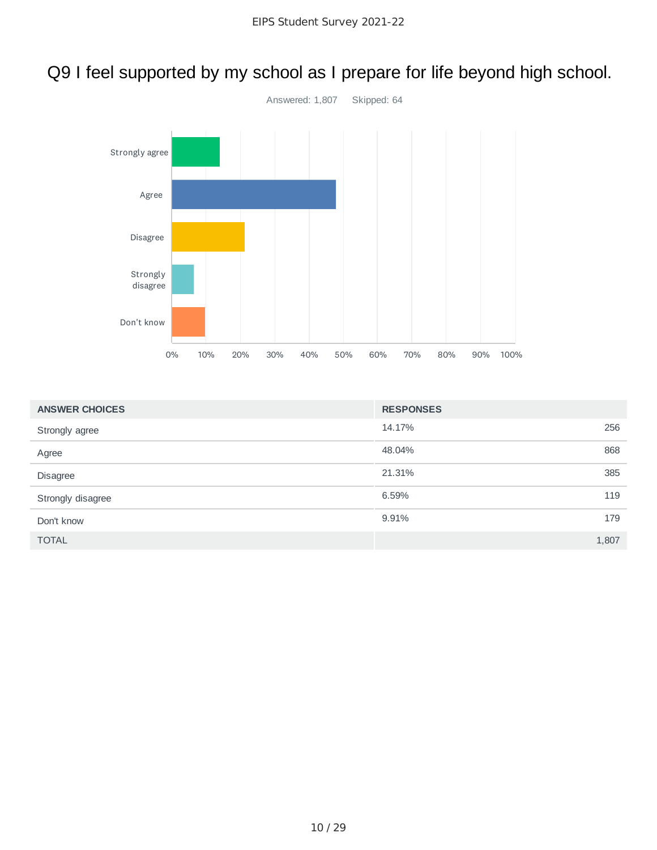# Q9 I feel supported by my school as I prepare for life beyond high school.



| <b>ANSWER CHOICES</b> | <b>RESPONSES</b> |       |
|-----------------------|------------------|-------|
| Strongly agree        | 14.17%           | 256   |
| Agree                 | 48.04%           | 868   |
| <b>Disagree</b>       | 21.31%           | 385   |
| Strongly disagree     | 6.59%            | 119   |
| Don't know            | 9.91%            | 179   |
| <b>TOTAL</b>          |                  | 1,807 |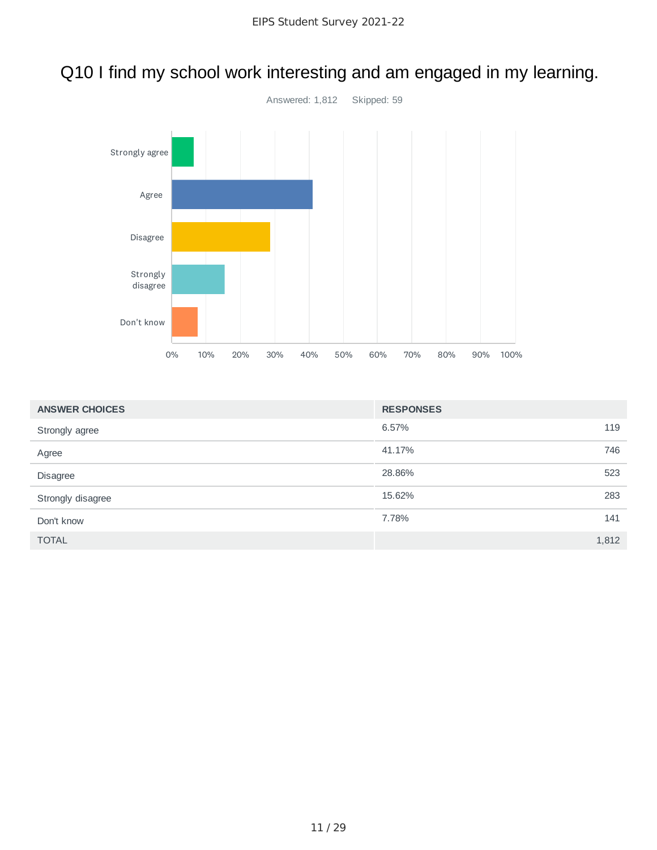

## Q10 I find my school work interesting and am engaged in my learning.

| <b>ANSWER CHOICES</b> | <b>RESPONSES</b> |       |
|-----------------------|------------------|-------|
| Strongly agree        | 6.57%            | 119   |
| Agree                 | 41.17%           | 746   |
| Disagree              | 28.86%           | 523   |
| Strongly disagree     | 15.62%           | 283   |
| Don't know            | 7.78%            | 141   |
| <b>TOTAL</b>          |                  | 1,812 |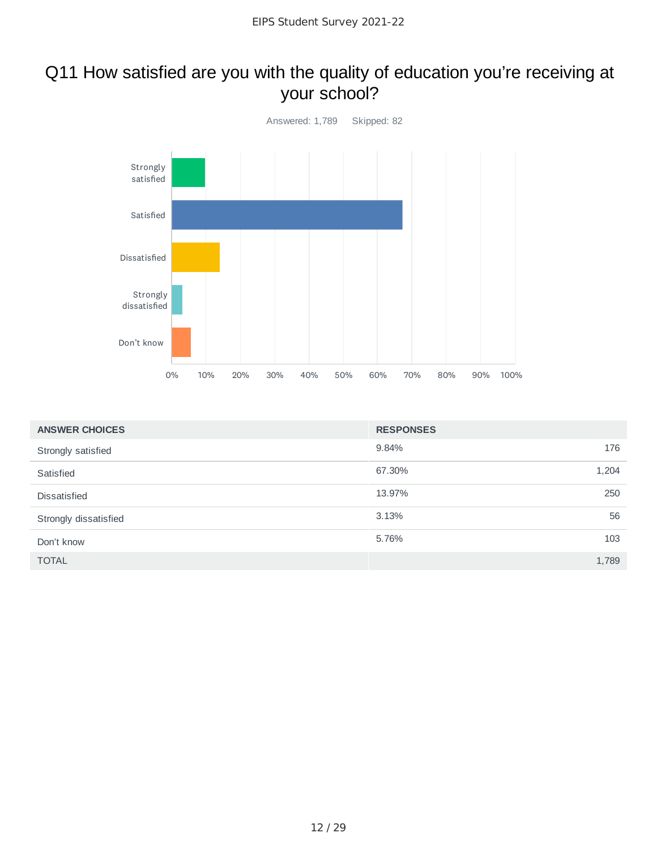### Q11 How satisfied are you with the quality of education you're receiving at your school?



| <b>ANSWER CHOICES</b> | <b>RESPONSES</b> |       |
|-----------------------|------------------|-------|
| Strongly satisfied    | 9.84%            | 176   |
| Satisfied             | 67.30%           | 1,204 |
| Dissatisfied          | 13.97%           | 250   |
| Strongly dissatisfied | 3.13%            | 56    |
| Don't know            | 5.76%            | 103   |
| <b>TOTAL</b>          |                  | 1,789 |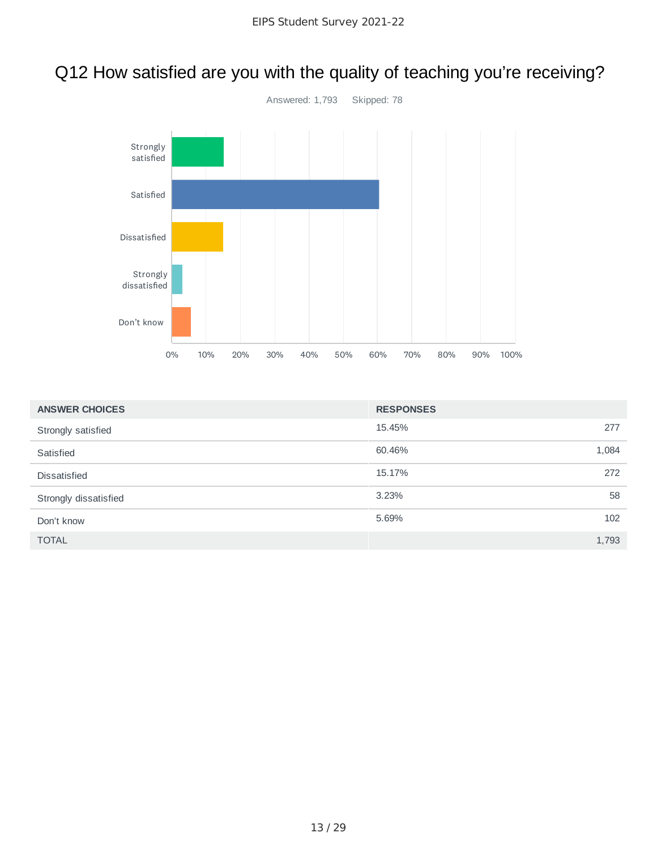# Q12 How satisfied are you with the quality of teaching you're receiving?



| <b>ANSWER CHOICES</b> | <b>RESPONSES</b> |       |
|-----------------------|------------------|-------|
| Strongly satisfied    | 15.45%           | 277   |
| Satisfied             | 60.46%           | 1,084 |
| <b>Dissatisfied</b>   | 15.17%           | 272   |
| Strongly dissatisfied | 3.23%            | 58    |
| Don't know            | 5.69%            | 102   |
| <b>TOTAL</b>          |                  | 1,793 |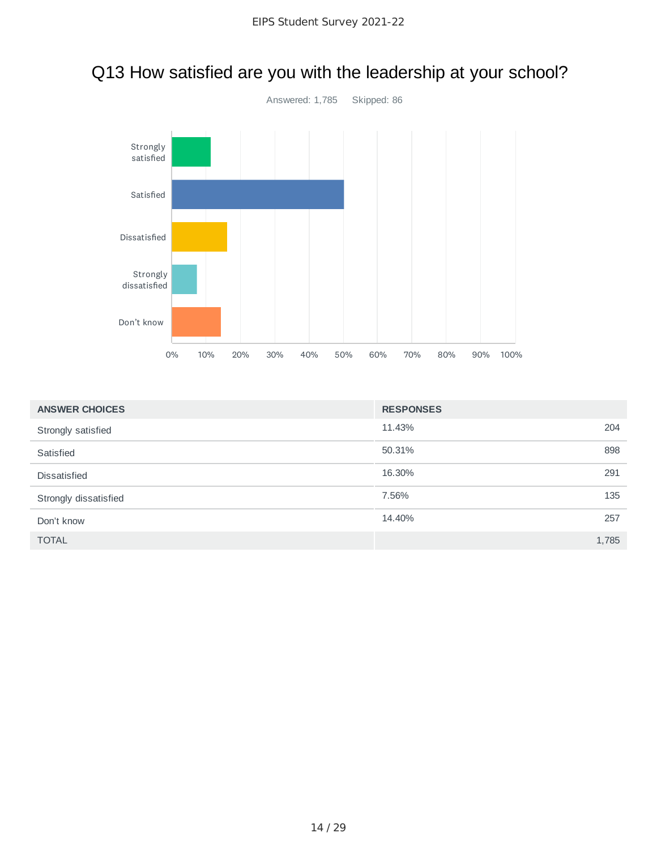

# Q13 How satisfied are you with the leadership at your school?

| <b>ANSWER CHOICES</b> | <b>RESPONSES</b> |
|-----------------------|------------------|
| Strongly satisfied    | 11.43%<br>204    |
| Satisfied             | 50.31%<br>898    |
| <b>Dissatisfied</b>   | 16.30%<br>291    |
| Strongly dissatisfied | 7.56%<br>135     |
| Don't know            | 14.40%<br>257    |
| <b>TOTAL</b>          | 1,785            |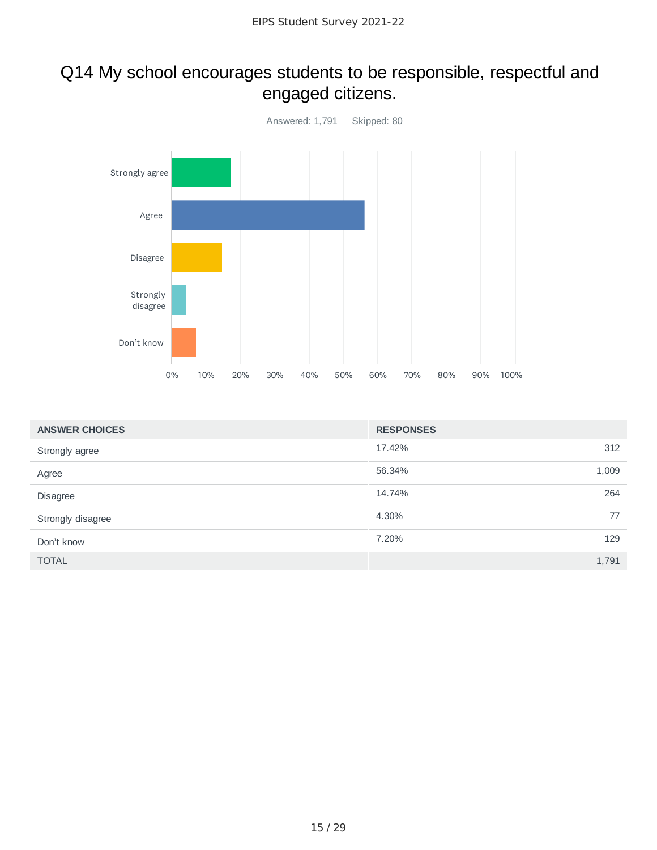### Q14 My school encourages students to be responsible, respectful and engaged citizens.



| <b>ANSWER CHOICES</b> | <b>RESPONSES</b> |       |
|-----------------------|------------------|-------|
| Strongly agree        | 17.42%           | 312   |
| Agree                 | 56.34%           | 1,009 |
| Disagree              | 14.74%           | 264   |
| Strongly disagree     | 4.30%            | 77    |
| Don't know            | 7.20%            | 129   |
| <b>TOTAL</b>          |                  | 1,791 |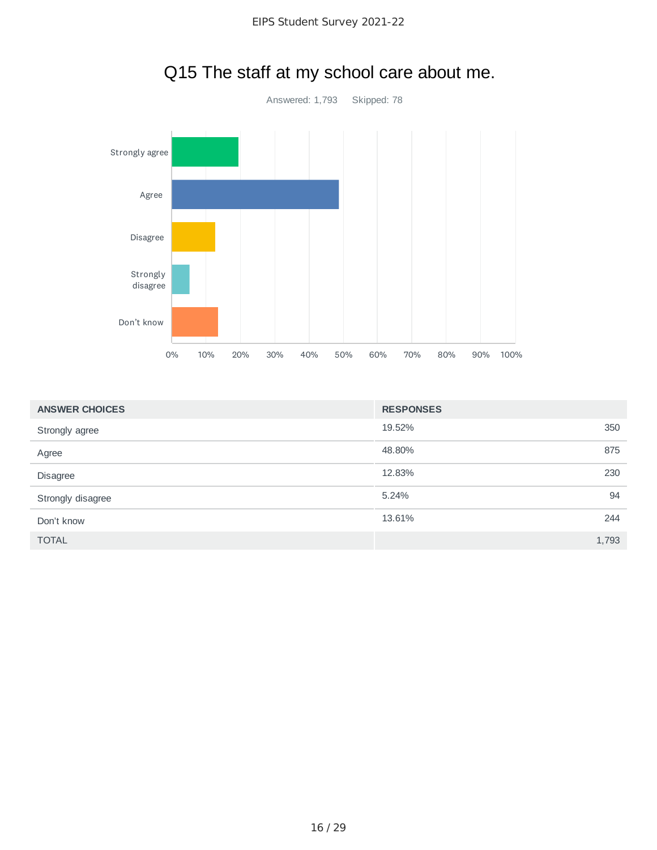

# Q15 The staff at my school care about me.

| <b>ANSWER CHOICES</b> | <b>RESPONSES</b> |       |
|-----------------------|------------------|-------|
| Strongly agree        | 19.52%           | 350   |
| Agree                 | 48.80%           | 875   |
| <b>Disagree</b>       | 12.83%           | 230   |
| Strongly disagree     | 5.24%            | 94    |
| Don't know            | 13.61%           | 244   |
| <b>TOTAL</b>          |                  | 1,793 |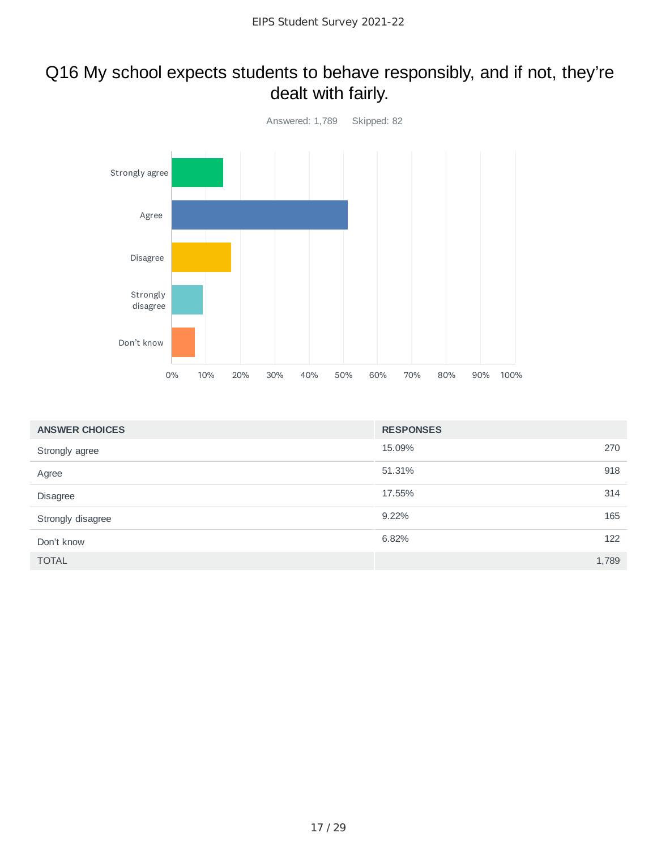### Q16 My school expects students to behave responsibly, and if not, they're dealt with fairly.



| <b>ANSWER CHOICES</b> | <b>RESPONSES</b> |       |
|-----------------------|------------------|-------|
| Strongly agree        | 15.09%           | 270   |
| Agree                 | 51.31%           | 918   |
| Disagree              | 17.55%           | 314   |
| Strongly disagree     | 9.22%            | 165   |
| Don't know            | 6.82%            | 122   |
| <b>TOTAL</b>          |                  | 1,789 |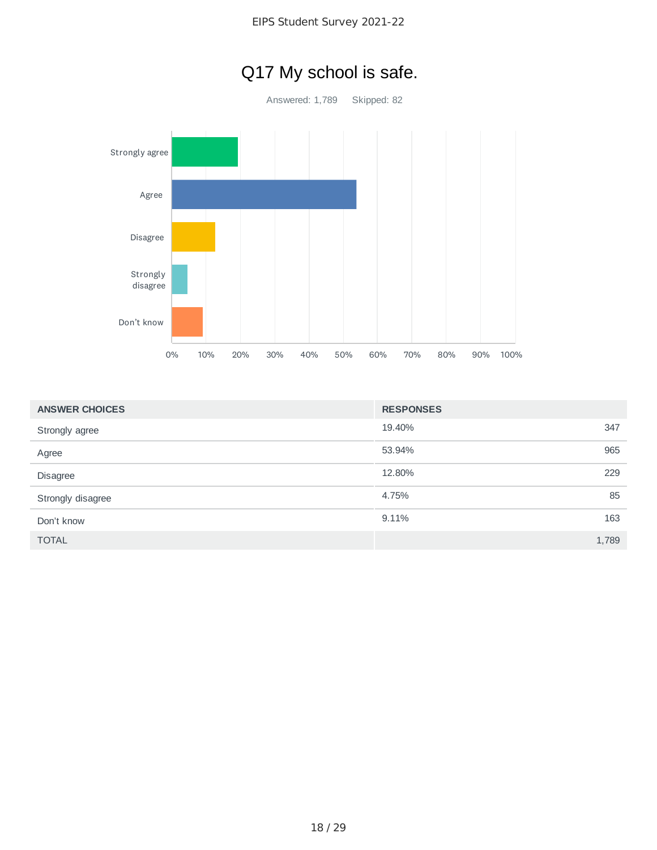

| <b>ANSWER CHOICES</b> | <b>RESPONSES</b> |
|-----------------------|------------------|
| Strongly agree        | 347<br>19.40%    |
| Agree                 | 53.94%<br>965    |
| Disagree              | 12.80%<br>229    |
| Strongly disagree     | 4.75%<br>85      |
| Don't know            | 163<br>9.11%     |
| <b>TOTAL</b>          | 1,789            |

# Q17 My school is safe.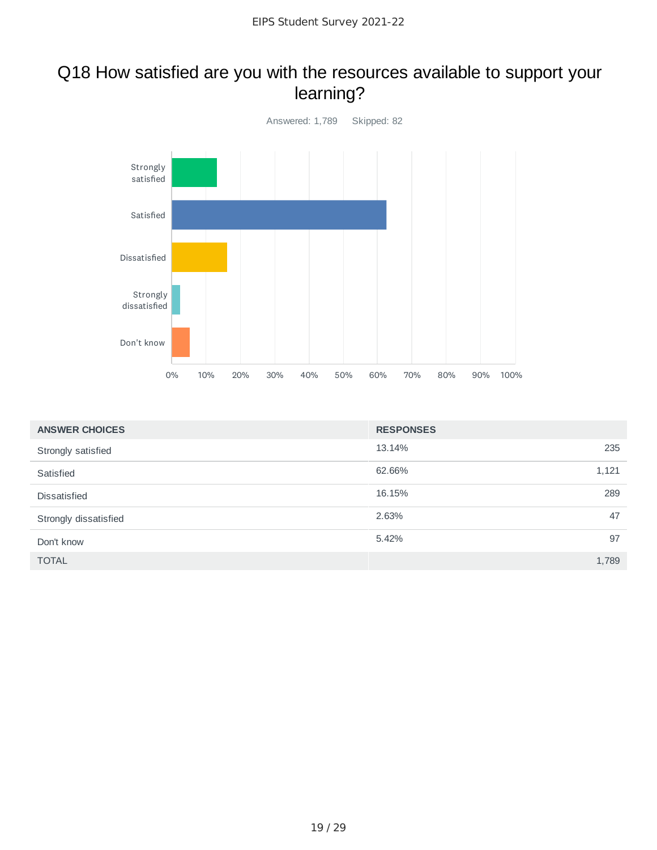### Q18 How satisfied are you with the resources available to support your learning?



| <b>ANSWER CHOICES</b> | <b>RESPONSES</b> |       |
|-----------------------|------------------|-------|
| Strongly satisfied    | 13.14%           | 235   |
| Satisfied             | 62.66%           | 1,121 |
| Dissatisfied          | 16.15%           | 289   |
| Strongly dissatisfied | 2.63%            | 47    |
| Don't know            | 5.42%            | 97    |
| <b>TOTAL</b>          |                  | 1,789 |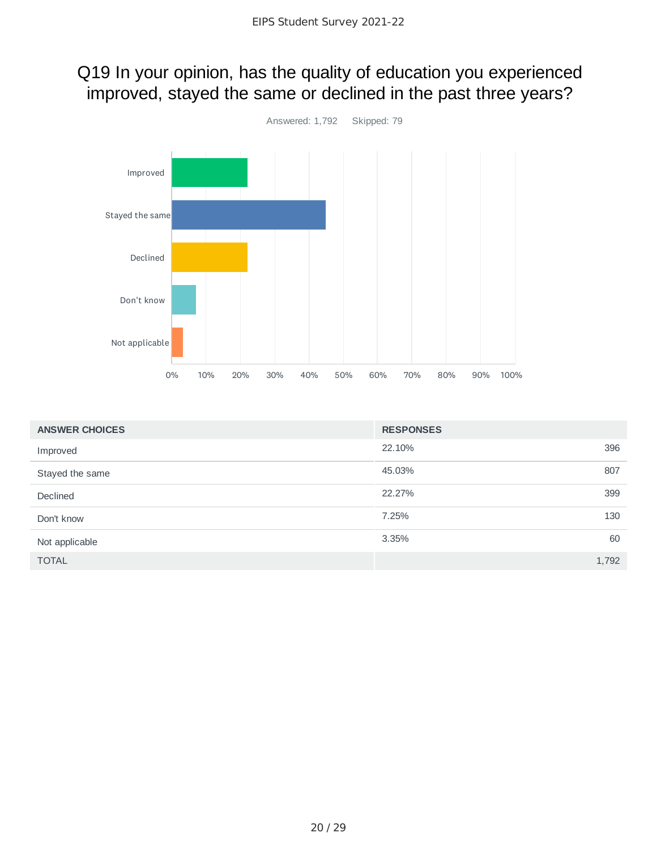# Q19 In your opinion, has the quality of education you experienced improved, stayed the same or declined in the past three years?



| <b>ANSWER CHOICES</b> | <b>RESPONSES</b> |       |
|-----------------------|------------------|-------|
| Improved              | 22.10%           | 396   |
| Stayed the same       | 45.03%           | 807   |
| Declined              | 22.27%           | 399   |
| Don't know            | 7.25%            | 130   |
| Not applicable        | 3.35%            | 60    |
| <b>TOTAL</b>          |                  | 1,792 |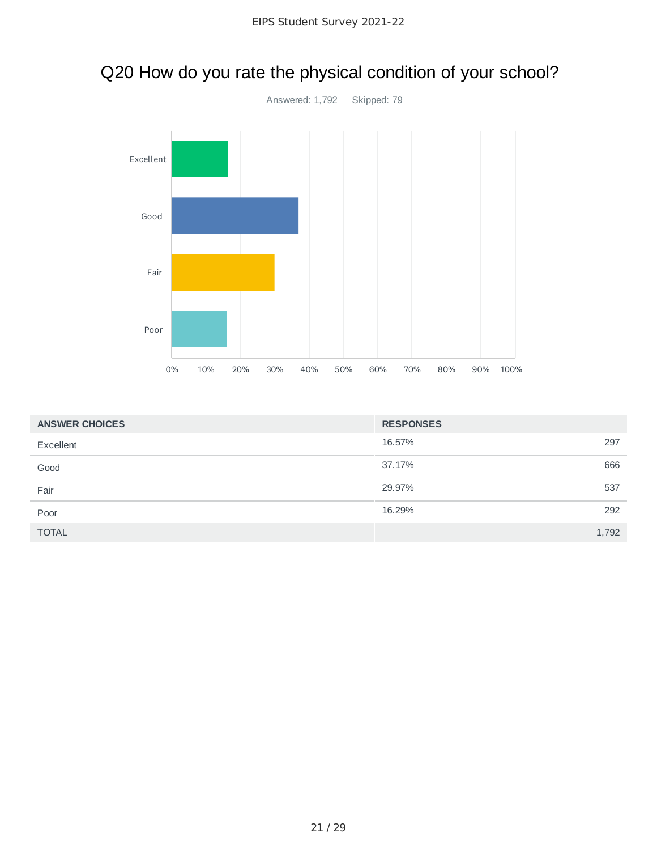

# Q20 How do you rate the physical condition of your school?

| <b>ANSWER CHOICES</b> | <b>RESPONSES</b> |       |
|-----------------------|------------------|-------|
| Excellent             | 16.57%           | 297   |
| Good                  | 37.17%           | 666   |
| Fair                  | 29.97%           | 537   |
| Poor                  | 16.29%           | 292   |
| <b>TOTAL</b>          |                  | 1,792 |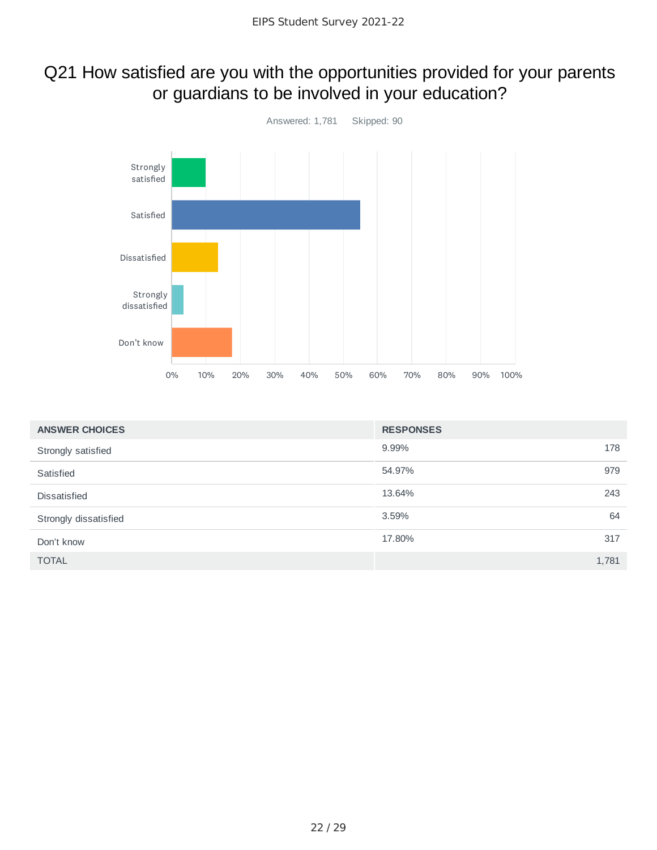# Q21 How satisfied are you with the opportunities provided for your parents or guardians to be involved in your education?



| <b>ANSWER CHOICES</b> | <b>RESPONSES</b> |       |
|-----------------------|------------------|-------|
| Strongly satisfied    | 9.99%            | 178   |
| Satisfied             | 54.97%           | 979   |
| <b>Dissatisfied</b>   | 13.64%           | 243   |
| Strongly dissatisfied | 3.59%            | 64    |
| Don't know            | 17.80%           | 317   |
| <b>TOTAL</b>          |                  | 1,781 |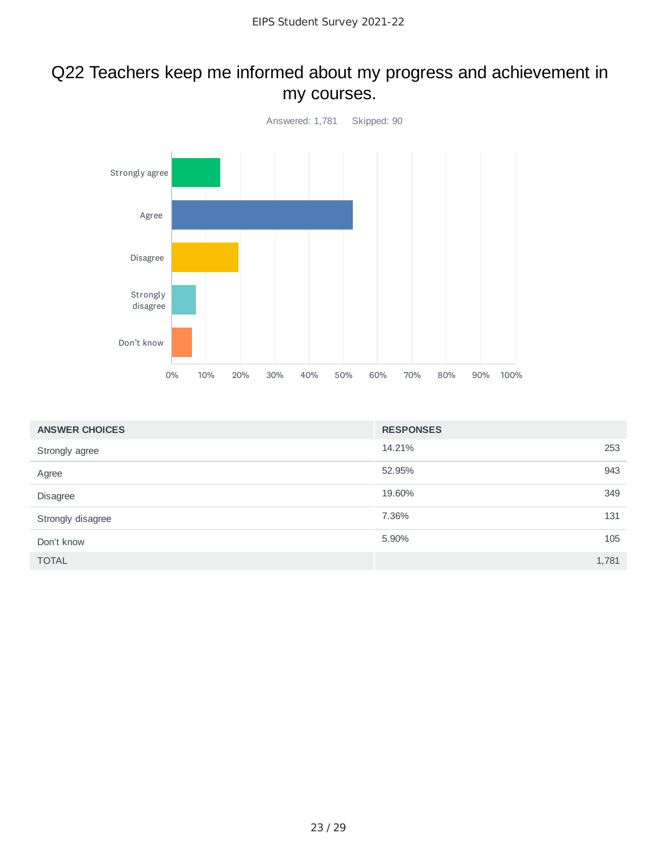#### Q22 Teachers keep me informed about my progress and achievement in my courses.



| <b>ANSWER CHOICES</b> | <b>RESPONSES</b> |       |
|-----------------------|------------------|-------|
| Strongly agree        | 14.21%           | 253   |
| Agree                 | 52.95%           | 943   |
| Disagree              | 19.60%           | 349   |
| Strongly disagree     | 7.36%            | 131   |
| Don't know            | 5.90%            | 105   |
| <b>TOTAL</b>          |                  | 1,781 |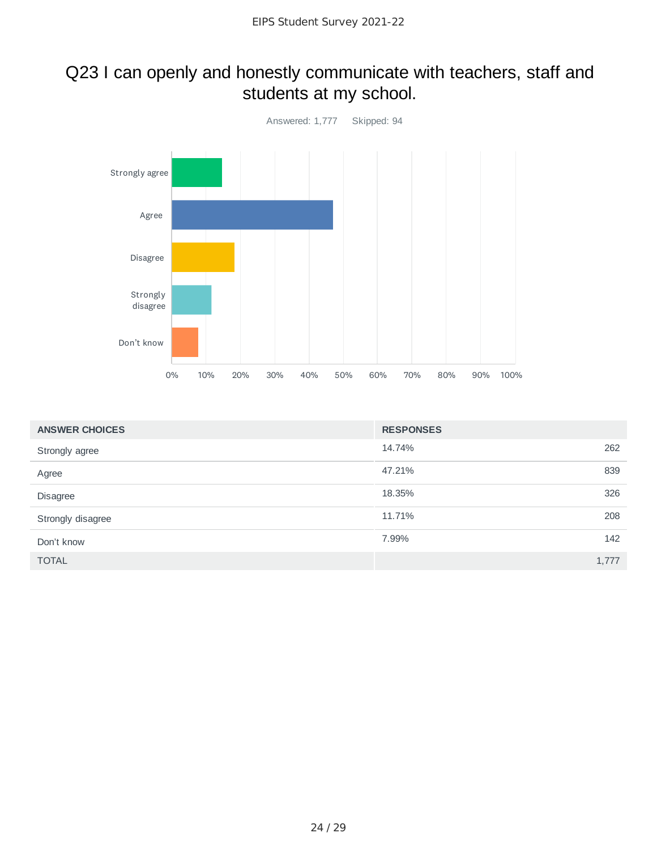### Q23 I can openly and honestly communicate with teachers, staff and students at my school.



| <b>ANSWER CHOICES</b> | <b>RESPONSES</b> |       |
|-----------------------|------------------|-------|
| Strongly agree        | 14.74%           | 262   |
| Agree                 | 47.21%           | 839   |
| Disagree              | 18.35%           | 326   |
| Strongly disagree     | 11.71%           | 208   |
| Don't know            | 7.99%            | 142   |
| <b>TOTAL</b>          |                  | 1,777 |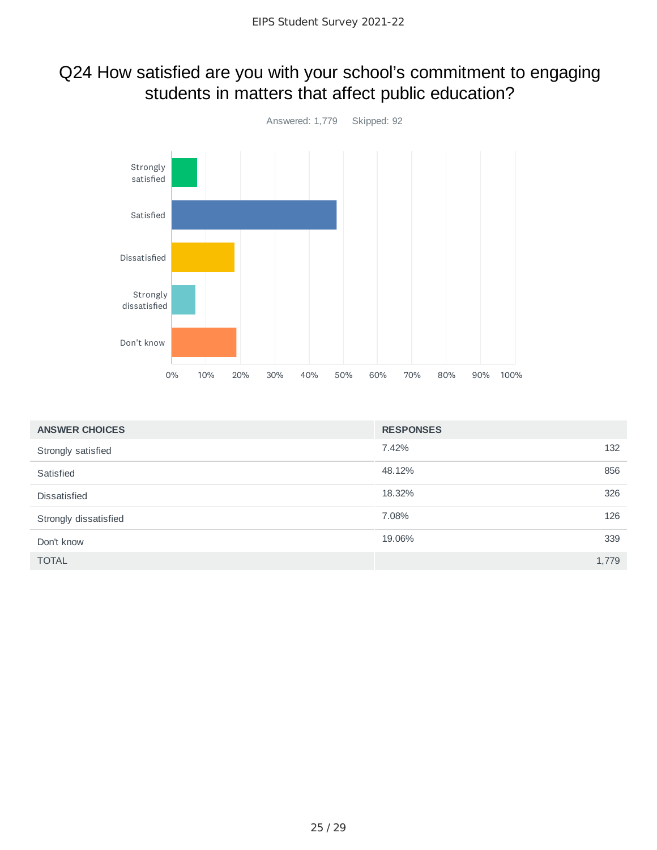# Q24 How satisfied are you with your school's commitment to engaging students in matters that affect public education?



| <b>ANSWER CHOICES</b> | <b>RESPONSES</b> |       |
|-----------------------|------------------|-------|
| Strongly satisfied    | 7.42%            | 132   |
| Satisfied             | 48.12%           | 856   |
| Dissatisfied          | 18.32%           | 326   |
| Strongly dissatisfied | 7.08%            | 126   |
| Don't know            | 19.06%           | 339   |
| <b>TOTAL</b>          |                  | 1,779 |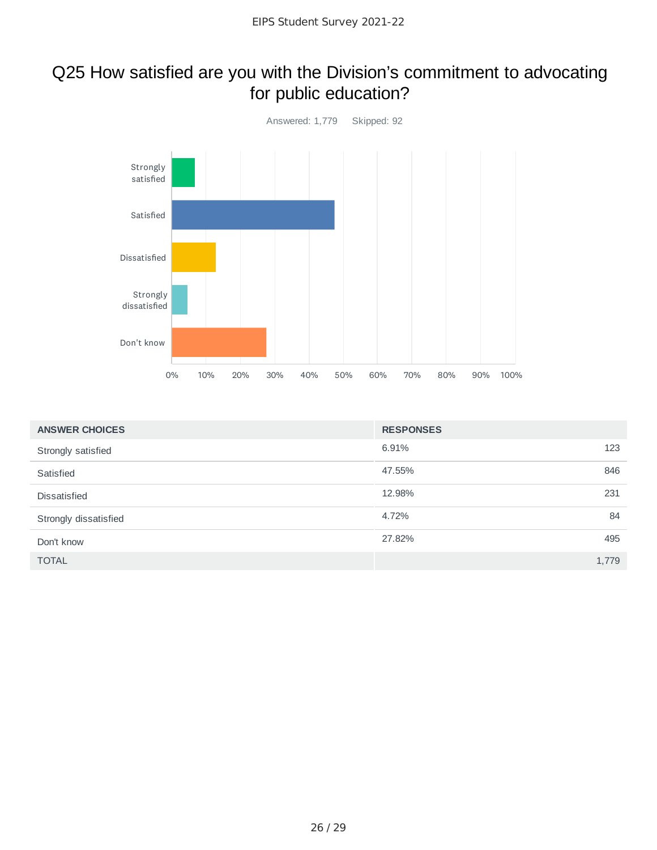### Q25 How satisfied are you with the Division's commitment to advocating for public education?



| <b>ANSWER CHOICES</b> | <b>RESPONSES</b> |       |
|-----------------------|------------------|-------|
| Strongly satisfied    | 6.91%            | 123   |
| Satisfied             | 47.55%           | 846   |
| Dissatisfied          | 12.98%           | 231   |
| Strongly dissatisfied | 4.72%            | 84    |
| Don't know            | 27.82%           | 495   |
| <b>TOTAL</b>          |                  | 1,779 |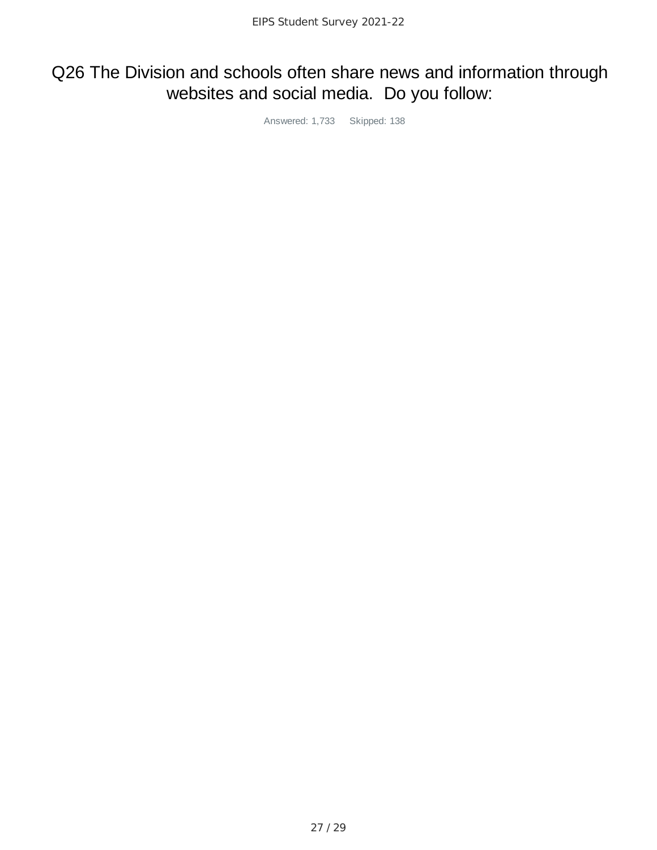## Q26 The Division and schools often share news and information through websites and social media. Do you follow:

Answered: 1,733 Skipped: 138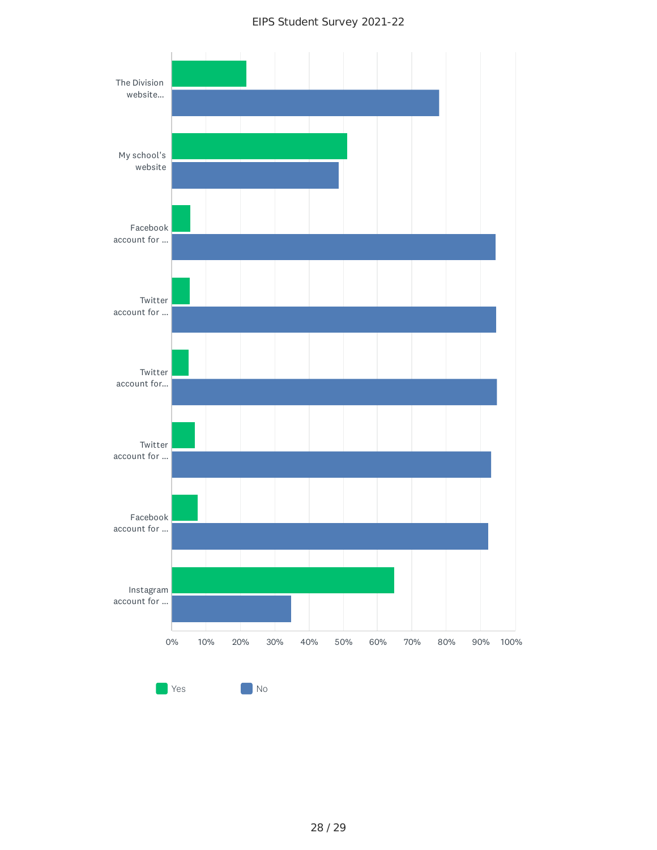#### EIPS Student Survey 2021-22